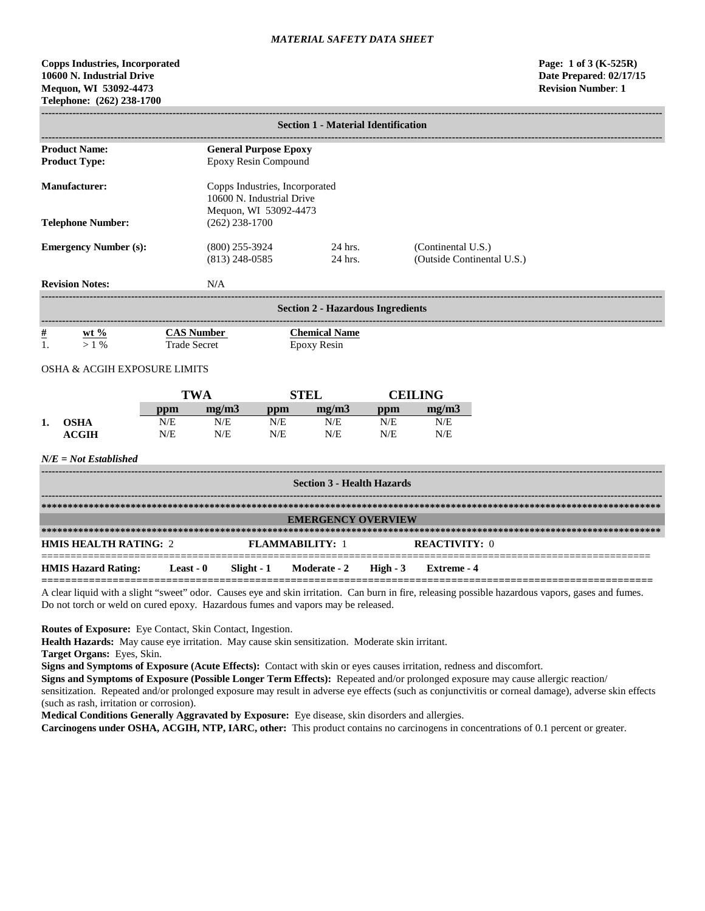# **Copps Industries, Incorporated Page: 1 of 3 (K-525R) 10600 N. Industrial Drive Date Prepared**: **02/17/15 Mequon, WI 53092-4473 Revision Number**: **1 Telephone: (262) 238-1700**

|                |                              |            |                     |                                                    | <b>Section 1 - Material Identification</b> |            |                            |  |
|----------------|------------------------------|------------|---------------------|----------------------------------------------------|--------------------------------------------|------------|----------------------------|--|
|                |                              |            |                     |                                                    |                                            |            |                            |  |
|                | <b>Product Name:</b>         |            |                     | <b>General Purpose Epoxy</b>                       |                                            |            |                            |  |
|                | <b>Product Type:</b>         |            |                     | Epoxy Resin Compound                               |                                            |            |                            |  |
|                | <b>Manufacturer:</b>         |            |                     | Copps Industries, Incorporated                     |                                            |            |                            |  |
|                |                              |            |                     | 10600 N. Industrial Drive<br>Mequon, WI 53092-4473 |                                            |            |                            |  |
|                | <b>Telephone Number:</b>     |            | $(262)$ 238-1700    |                                                    |                                            |            |                            |  |
|                | <b>Emergency Number (s):</b> |            | $(800)$ 255-3924    |                                                    | 24 hrs.                                    |            | (Continental U.S.)         |  |
|                |                              |            | $(813)$ 248-0585    |                                                    | 24 hrs.                                    |            | (Outside Continental U.S.) |  |
|                |                              |            |                     |                                                    |                                            |            |                            |  |
|                | <b>Revision Notes:</b>       |            | N/A                 |                                                    |                                            |            |                            |  |
|                |                              |            |                     |                                                    | <b>Section 2 - Hazardous Ingredients</b>   |            |                            |  |
| $\frac{\#}{1}$ | $wt \%$                      |            | <b>CAS Number</b>   |                                                    | <b>Chemical Name</b>                       |            |                            |  |
|                | $>1\%$                       |            | <b>Trade Secret</b> | <b>Epoxy Resin</b>                                 |                                            |            |                            |  |
|                | OSHA & ACGIH EXPOSURE LIMITS |            |                     |                                                    |                                            |            |                            |  |
|                |                              |            | <b>TWA</b>          | <b>STEL</b>                                        |                                            |            | <b>CEILING</b>             |  |
|                |                              | ppm        | mg/m3               | ppm                                                | mg/m3                                      | ppm        | mg/m3                      |  |
| 1.             | <b>OSHA</b><br><b>ACGIH</b>  | N/E<br>N/E | N/E<br>N/E          | N/E<br>N/E                                         | N/E<br>N/E                                 | N/E<br>N/E | N/E<br>N/E                 |  |
|                |                              |            |                     |                                                    |                                            |            |                            |  |
|                | $N/E = Not$ Established      |            |                     |                                                    |                                            |            |                            |  |
|                |                              |            |                     |                                                    | <b>Section 3 - Health Hazards</b>          |            |                            |  |
|                |                              |            |                     |                                                    |                                            |            |                            |  |
|                |                              |            |                     |                                                    | <b>EMERGENCY OVERVIEW</b>                  |            |                            |  |
|                |                              |            |                     |                                                    |                                            |            |                            |  |
|                | <b>HMIS HEALTH RATING: 2</b> |            |                     | <b>FLAMMABILITY: 1</b>                             |                                            |            | <b>REACTIVITY: 0</b>       |  |

**HMIS Hazard Rating: Least - 0 Slight - 1 Moderate - 2 High - 3 Extreme - 4**

**=======================================================================================================** A clear liquid with a slight "sweet" odor. Causes eye and skin irritation. Can burn in fire, releasing possible hazardous vapors, gases and fumes. Do not torch or weld on cured epoxy. Hazardous fumes and vapors may be released.

**Routes of Exposure:** Eye Contact, Skin Contact, Ingestion.

**Health Hazards:** May cause eye irritation. May cause skin sensitization. Moderate skin irritant.

**Target Organs:** Eyes, Skin.

**Signs and Symptoms of Exposure (Acute Effects):** Contact with skin or eyes causes irritation, redness and discomfort.

**Signs and Symptoms of Exposure (Possible Longer Term Effects):** Repeated and/or prolonged exposure may cause allergic reaction/ sensitization. Repeated and/or prolonged exposure may result in adverse eye effects (such as conjunctivitis or corneal damage), adverse skin effects (such as rash, irritation or corrosion).

**Medical Conditions Generally Aggravated by Exposure:** Eye disease, skin disorders and allergies.

**Carcinogens under OSHA, ACGIH, NTP, IARC, other:** This product contains no carcinogens in concentrations of 0.1 percent or greater.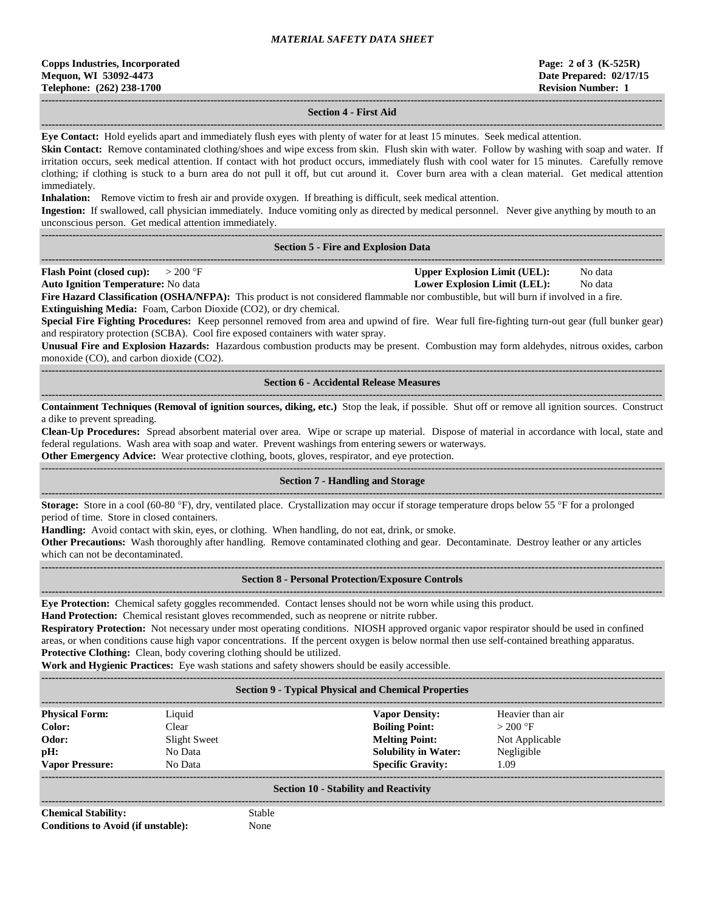#### **------------------------------------------------------------------------------------------------------------------------------------------------------------------------------------ Section 4 - First Aid**

**------------------------------------------------------------------------------------------------------------------------------------------------------------------------------------ Eye Contact:** Hold eyelids apart and immediately flush eyes with plenty of water for at least 15 minutes. Seek medical attention.

**Skin Contact:** Remove contaminated clothing/shoes and wipe excess from skin. Flush skin with water. Follow by washing with soap and water. If irritation occurs, seek medical attention. If contact with hot product occurs, immediately flush with cool water for 15 minutes. Carefully remove clothing; if clothing is stuck to a burn area do not pull it off, but cut around it. Cover burn area with a clean material. Get medical attention immediately.

**Inhalation:** Remove victim to fresh air and provide oxygen. If breathing is difficult, seek medical attention.

**Ingestion:** If swallowed, call physician immediately. Induce vomiting only as directed by medical personnel. Never give anything by mouth to an unconscious person. Get medical attention immediately.

**------------------------------------------------------------------------------------------------------------------------------------------------------------------------------------**

### **Section 5 - Fire and Explosion Data**

**------------------------------------------------------------------------------------------------------------------------------------------------------------------------------------ Flash Point (closed cup):**  $> 200 \text{ }^{\circ}\text{F}$  **Upper Explosion Limit (UEL):** No data

**Auto Ignition Temperature:** No data **Lower Explosion Limit (LEL):** No data

**Fire Hazard Classification (OSHA/NFPA):** This product is not considered flammable nor combustible, but will burn if involved in a fire. **Extinguishing Media:** Foam, Carbon Dioxide (CO2), or dry chemical.

**Special Fire Fighting Procedures:** Keep personnel removed from area and upwind of fire. Wear full fire-fighting turn-out gear (full bunker gear) and respiratory protection (SCBA). Cool fire exposed containers with water spray.

**Unusual Fire and Explosion Hazards:** Hazardous combustion products may be present. Combustion may form aldehydes, nitrous oxides, carbon monoxide (CO), and carbon dioxide (CO2).

### **------------------------------------------------------------------------------------------------------------------------------------------------------------------------------------ Section 6 - Accidental Release Measures**

**------------------------------------------------------------------------------------------------------------------------------------------------------------------------------------ Containment Techniques (Removal of ignition sources, diking, etc.)** Stop the leak, if possible. Shut off or remove all ignition sources. Construct a dike to prevent spreading.

**Clean-Up Procedures:** Spread absorbent material over area. Wipe or scrape up material. Dispose of material in accordance with local, state and federal regulations. Wash area with soap and water. Prevent washings from entering sewers or waterways.

**Other Emergency Advice:** Wear protective clothing, boots, gloves, respirator, and eye protection.

#### ------------------------------------------------------------------------------------------------------------------------------------------------------------------------------------ **Section 7 - Handling and Storage**

**------------------------------------------------------------------------------------------------------------------------------------------------------------------------------------**

**Storage:** Store in a cool (60-80 °F), dry, ventilated place. Crystallization may occur if storage temperature drops below 55 °F for a prolonged period of time. Store in closed containers.

**Handling:** Avoid contact with skin, eyes, or clothing. When handling, do not eat, drink, or smoke.

**Other Precautions:** Wash thoroughly after handling. Remove contaminated clothing and gear. Decontaminate. Destroy leather or any articles which can not be decontaminated.

#### **Section 8 - Personal Protection/Exposure Controls**

**------------------------------------------------------------------------------------------------------------------------------------------------------------------------------------**

**Eye Protection:** Chemical safety goggles recommended. Contact lenses should not be worn while using this product.

**Hand Protection:** Chemical resistant gloves recommended, such as neoprene or nitrite rubber.

**Respiratory Protection:** Not necessary under most operating conditions. NIOSH approved organic vapor respirator should be used in confined areas, or when conditions cause high vapor concentrations. If the percent oxygen is below normal then use self-contained breathing apparatus. **Protective Clothing:** Clean, body covering clothing should be utilized.

**Work and Hygienic Practices:** Eye wash stations and safety showers should be easily accessible.

| <b>Section 9 - Typical Physical and Chemical Properties</b> |              |                             |                  |  |  |  |
|-------------------------------------------------------------|--------------|-----------------------------|------------------|--|--|--|
| <b>Physical Form:</b>                                       | Liquid       | <b>Vapor Density:</b>       | Heavier than air |  |  |  |
| Color:                                                      | Clear        | <b>Boiling Point:</b>       | $>200$ °F        |  |  |  |
| Odor:                                                       | Slight Sweet | <b>Melting Point:</b>       | Not Applicable   |  |  |  |
| pH:                                                         | No Data      | <b>Solubility in Water:</b> | Negligible       |  |  |  |
| <b>Vapor Pressure:</b>                                      | No Data      | <b>Specific Gravity:</b>    | 1.09             |  |  |  |
| <b>Section 10 - Stability and Reactivity</b>                |              |                             |                  |  |  |  |

**Chemical Stability:** Stable **Conditions to Avoid (if unstable):** None

**------------------------------------------------------------------------------------------------------------------------------------------------------------------------------------**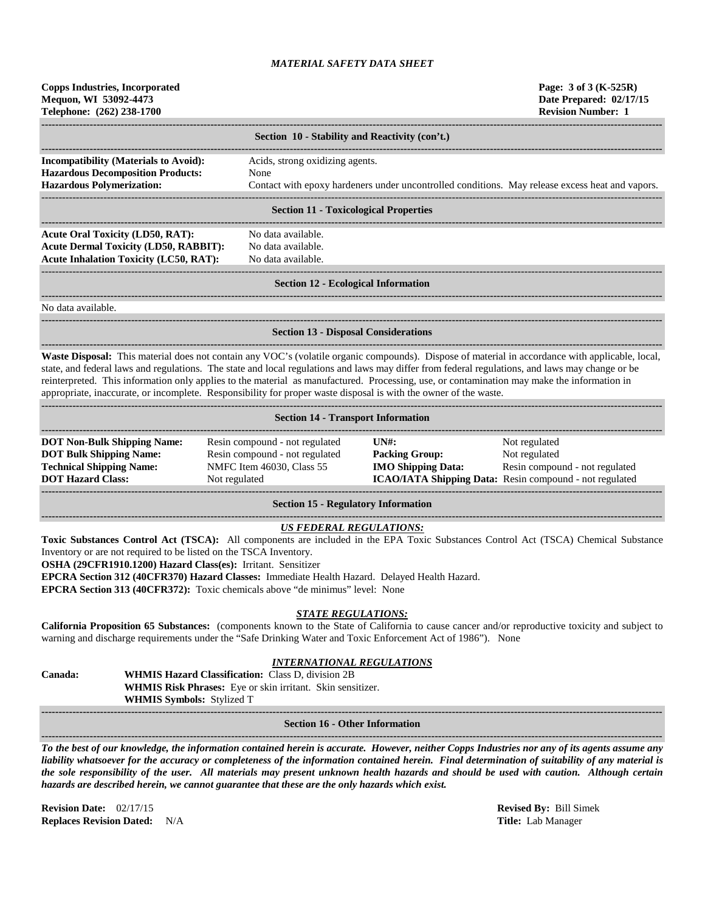| <b>Copps Industries, Incorporated</b><br>Mequon, WI 53092-4473<br>Telephone: (262) 238-1700                                                                                                                                                                                                                                                                                                                                                                                                                                                                             |                                                                                                                                                                                         |                                                                                                 | Page: 3 of 3 (K-525R)<br>Date Prepared: 02/17/15<br><b>Revision Number: 1</b> |  |  |
|-------------------------------------------------------------------------------------------------------------------------------------------------------------------------------------------------------------------------------------------------------------------------------------------------------------------------------------------------------------------------------------------------------------------------------------------------------------------------------------------------------------------------------------------------------------------------|-----------------------------------------------------------------------------------------------------------------------------------------------------------------------------------------|-------------------------------------------------------------------------------------------------|-------------------------------------------------------------------------------|--|--|
|                                                                                                                                                                                                                                                                                                                                                                                                                                                                                                                                                                         | Section 10 - Stability and Reactivity (con't.)                                                                                                                                          |                                                                                                 |                                                                               |  |  |
| <b>Incompatibility (Materials to Avoid):</b>                                                                                                                                                                                                                                                                                                                                                                                                                                                                                                                            | Acids, strong oxidizing agents.                                                                                                                                                         |                                                                                                 |                                                                               |  |  |
| <b>Hazardous Decomposition Products:</b><br><b>Hazardous Polymerization:</b>                                                                                                                                                                                                                                                                                                                                                                                                                                                                                            | None                                                                                                                                                                                    |                                                                                                 |                                                                               |  |  |
|                                                                                                                                                                                                                                                                                                                                                                                                                                                                                                                                                                         |                                                                                                                                                                                         | Contact with epoxy hardeners under uncontrolled conditions. May release excess heat and vapors. |                                                                               |  |  |
|                                                                                                                                                                                                                                                                                                                                                                                                                                                                                                                                                                         | <b>Section 11 - Toxicological Properties</b>                                                                                                                                            |                                                                                                 |                                                                               |  |  |
| <b>Acute Oral Toxicity (LD50, RAT):</b>                                                                                                                                                                                                                                                                                                                                                                                                                                                                                                                                 | No data available.                                                                                                                                                                      |                                                                                                 |                                                                               |  |  |
| <b>Acute Dermal Toxicity (LD50, RABBIT):</b>                                                                                                                                                                                                                                                                                                                                                                                                                                                                                                                            | No data available.                                                                                                                                                                      |                                                                                                 |                                                                               |  |  |
| <b>Acute Inhalation Toxicity (LC50, RAT):</b>                                                                                                                                                                                                                                                                                                                                                                                                                                                                                                                           | No data available.                                                                                                                                                                      |                                                                                                 |                                                                               |  |  |
|                                                                                                                                                                                                                                                                                                                                                                                                                                                                                                                                                                         | <b>Section 12 - Ecological Information</b>                                                                                                                                              |                                                                                                 |                                                                               |  |  |
| No data available.                                                                                                                                                                                                                                                                                                                                                                                                                                                                                                                                                      |                                                                                                                                                                                         |                                                                                                 |                                                                               |  |  |
|                                                                                                                                                                                                                                                                                                                                                                                                                                                                                                                                                                         | <b>Section 13 - Disposal Considerations</b>                                                                                                                                             |                                                                                                 |                                                                               |  |  |
| Waste Disposal: This material does not contain any VOC's (volatile organic compounds). Dispose of material in accordance with applicable, local,<br>state, and federal laws and regulations. The state and local regulations and laws may differ from federal regulations, and laws may change or be<br>reinterpreted. This information only applies to the material as manufactured. Processing, use, or contamination may make the information in<br>appropriate, inaccurate, or incomplete. Responsibility for proper waste disposal is with the owner of the waste. |                                                                                                                                                                                         |                                                                                                 |                                                                               |  |  |
|                                                                                                                                                                                                                                                                                                                                                                                                                                                                                                                                                                         | <b>Section 14 - Transport Information</b>                                                                                                                                               |                                                                                                 |                                                                               |  |  |
| <b>DOT Non-Bulk Shipping Name:</b>                                                                                                                                                                                                                                                                                                                                                                                                                                                                                                                                      | Resin compound - not regulated                                                                                                                                                          | UN#                                                                                             | Not regulated                                                                 |  |  |
| <b>DOT Bulk Shipping Name:</b>                                                                                                                                                                                                                                                                                                                                                                                                                                                                                                                                          | Resin compound - not regulated                                                                                                                                                          | <b>Packing Group:</b>                                                                           | Not regulated                                                                 |  |  |
| <b>Technical Shipping Name:</b><br><b>DOT Hazard Class:</b>                                                                                                                                                                                                                                                                                                                                                                                                                                                                                                             | NMFC Item 46030, Class 55<br>Not regulated                                                                                                                                              | <b>IMO Shipping Data:</b><br>ICAO/IATA Shipping Data: Resin compound - not regulated            | Resin compound - not regulated                                                |  |  |
|                                                                                                                                                                                                                                                                                                                                                                                                                                                                                                                                                                         | <b>Section 15 - Regulatory Information</b>                                                                                                                                              |                                                                                                 |                                                                               |  |  |
| Toxic Substances Control Act (TSCA): All components are included in the EPA Toxic Substances Control Act (TSCA) Chemical Substance<br>Inventory or are not required to be listed on the TSCA Inventory.<br>OSHA (29CFR1910.1200) Hazard Class(es): Irritant. Sensitizer<br>EPCRA Section 312 (40CFR370) Hazard Classes: Immediate Health Hazard. Delayed Health Hazard.<br>EPCRA Section 313 (40CFR372): Toxic chemicals above "de minimus" level: None                                                                                                                 | <b>US FEDERAL REGULATIONS:</b>                                                                                                                                                          |                                                                                                 |                                                                               |  |  |
| California Proposition 65 Substances: (components known to the State of California to cause cancer and/or reproductive toxicity and subject to<br>warning and discharge requirements under the "Safe Drinking Water and Toxic Enforcement Act of 1986"). None                                                                                                                                                                                                                                                                                                           | <b>STATE REGULATIONS:</b>                                                                                                                                                               |                                                                                                 |                                                                               |  |  |
| Canada:                                                                                                                                                                                                                                                                                                                                                                                                                                                                                                                                                                 | <b>INTERNATIONAL REGULATIONS</b><br><b>WHMIS Hazard Classification:</b> Class D, division 2B<br>WHMIS Risk Phrases: Eye or skin irritant. Skin sensitizer.<br>WHMIS Symbols: Stylized T |                                                                                                 |                                                                               |  |  |
|                                                                                                                                                                                                                                                                                                                                                                                                                                                                                                                                                                         | <b>Section 16 - Other Information</b>                                                                                                                                                   |                                                                                                 |                                                                               |  |  |
| To the best of our knowledge, the information contained herein is accurate. However, neither Copps Industries nor any of its agents assume any<br>liability whatsoever for the accuracy or completeness of the information contained herein. Final determination of suitability of any material is                                                                                                                                                                                                                                                                      |                                                                                                                                                                                         |                                                                                                 |                                                                               |  |  |

*the sole responsibility of the user. All materials may present unknown health hazards and should be used with caution. Although certain hazards are described herein, we cannot guarantee that these are the only hazards which exist.*

**Revision Date:** 02/17/15 **Revised By:** Bill Simek **Replaces Revision Dated:** N/A **Title:** Lab Manager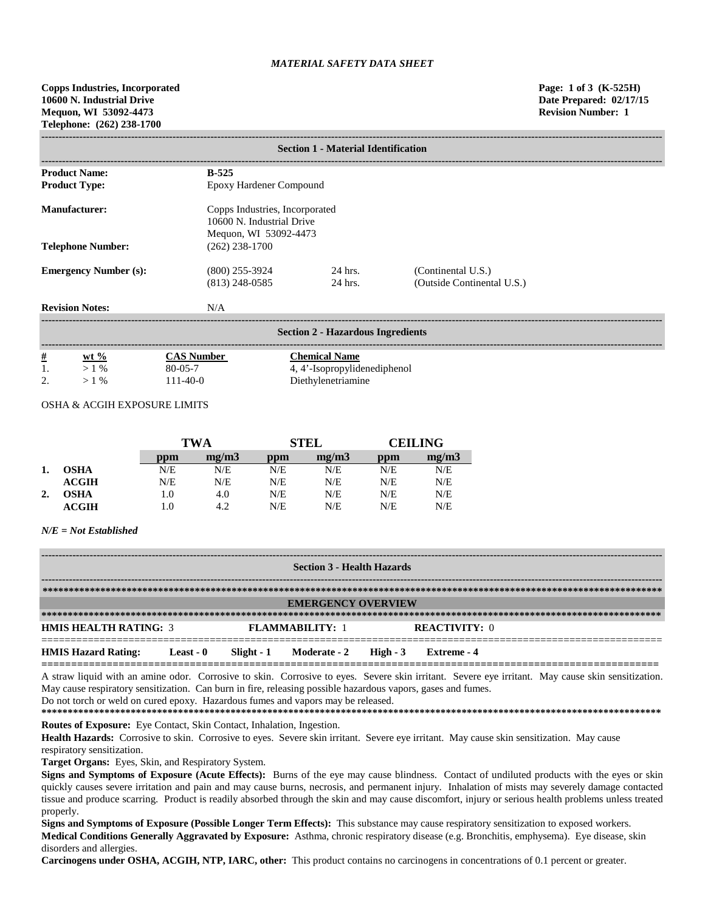|          | <b>Section 1 - Material Identification</b> |                                |                                          |                            |  |  |  |  |
|----------|--------------------------------------------|--------------------------------|------------------------------------------|----------------------------|--|--|--|--|
|          |                                            |                                |                                          |                            |  |  |  |  |
|          | <b>Product Name:</b>                       | $B-525$                        |                                          |                            |  |  |  |  |
|          | <b>Product Type:</b>                       | Epoxy Hardener Compound        |                                          |                            |  |  |  |  |
|          | <b>Manufacturer:</b>                       | Copps Industries, Incorporated |                                          |                            |  |  |  |  |
|          |                                            | 10600 N. Industrial Drive      |                                          |                            |  |  |  |  |
|          |                                            |                                | Mequon, WI 53092-4473                    |                            |  |  |  |  |
|          | <b>Telephone Number:</b>                   | $(262)$ 238-1700               |                                          |                            |  |  |  |  |
|          |                                            |                                |                                          |                            |  |  |  |  |
|          | <b>Emergency Number (s):</b>               | $(800)$ 255-3924               | 24 hrs.                                  | (Continental U.S.)         |  |  |  |  |
|          |                                            | $(813)$ 248-0585               | 24 hrs.                                  | (Outside Continental U.S.) |  |  |  |  |
|          | <b>Revision Notes:</b>                     | N/A                            |                                          |                            |  |  |  |  |
|          |                                            |                                |                                          |                            |  |  |  |  |
|          |                                            |                                | <b>Section 2 - Hazardous Ingredients</b> |                            |  |  |  |  |
| <u>#</u> | wt $%$                                     | <b>CAS Number</b>              | <b>Chemical Name</b>                     |                            |  |  |  |  |
|          | $>1\%$                                     | $80 - 05 - 7$                  | 4, 4'-Isopropylidenediphenol             |                            |  |  |  |  |
| 2.       | >1%                                        | $111-40-0$                     | Diethylenetriamine                       |                            |  |  |  |  |

### OSHA & ACGIH EXPOSURE LIMITS

|    |                  | TWA |       | <b>STEL</b> |       | CEIL ING |       |
|----|------------------|-----|-------|-------------|-------|----------|-------|
|    |                  | ppm | me/m3 | ppm         | mg/m3 | ppm      | mg/m3 |
|    | <b>OSHA</b>      | N/E | N/E   | N/E         | N/E   | N/E      | N/E   |
|    | $\mathbf{ACGIH}$ | N/E | N/E   | N/E         | N/E   | N/E      | N/E   |
| 2. | OSHA             | 1.0 | 4.0   | N/E         | N/E   | N/E      | N/E   |
|    | <b>ACGIH</b>     | 1.0 | 4.2   | N/E         | N/E   | N/E      | N/E   |

### *N/E = Not Established*

| <b>Section 3 - Health Hazards</b> |           |  |                                  |  |                      |  |
|-----------------------------------|-----------|--|----------------------------------|--|----------------------|--|
|                                   |           |  |                                  |  |                      |  |
|                                   |           |  | <b>EMERGENCY OVERVIEW</b>        |  |                      |  |
|                                   |           |  |                                  |  |                      |  |
| <b>HMIS HEALTH RATING: 3</b>      |           |  | <b>FLAMMARILITY: 1</b>           |  | <b>REACTIVITY: 0</b> |  |
| <b>HMIS Hazard Rating:</b>        | Least - 0 |  | Slight - 1 Moderate - 2 High - 3 |  | Extreme - 4          |  |

A straw liquid with an amine odor. Corrosive to skin. Corrosive to eyes. Severe skin irritant. Severe eye irritant. May cause skin sensitization. May cause respiratory sensitization. Can burn in fire, releasing possible hazardous vapors, gases and fumes.

Do not torch or weld on cured epoxy. Hazardous fumes and vapors may be released.

**\*\*\*\*\*\*\*\*\*\*\*\*\*\*\*\*\*\*\*\*\*\*\*\*\*\*\*\*\*\*\*\*\*\*\*\*\*\*\*\*\*\*\*\*\*\*\*\*\*\*\*\*\*\*\*\*\*\*\*\*\*\*\*\*\*\*\*\*\*\*\*\*\*\*\*\*\*\*\*\*\*\*\*\*\*\*\*\*\*\*\*\*\*\*\*\*\*\*\*\*\*\*\*\*\*\*\*\*\*\*\*\*\*\*\*\*\*\* Routes of Exposure:** Eye Contact, Skin Contact, Inhalation, Ingestion.

**Health Hazards:** Corrosive to skin. Corrosive to eyes. Severe skin irritant. Severe eye irritant. May cause skin sensitization. May cause respiratory sensitization.

**Target Organs:** Eyes, Skin, and Respiratory System.

**Signs and Symptoms of Exposure (Acute Effects):** Burns of the eye may cause blindness. Contact of undiluted products with the eyes or skin quickly causes severe irritation and pain and may cause burns, necrosis, and permanent injury. Inhalation of mists may severely damage contacted tissue and produce scarring. Product is readily absorbed through the skin and may cause discomfort, injury or serious health problems unless treated properly.

**Signs and Symptoms of Exposure (Possible Longer Term Effects):** This substance may cause respiratory sensitization to exposed workers. **Medical Conditions Generally Aggravated by Exposure:** Asthma, chronic respiratory disease (e.g. Bronchitis, emphysema). Eye disease, skin disorders and allergies.

**Carcinogens under OSHA, ACGIH, NTP, IARC, other:** This product contains no carcinogens in concentrations of 0.1 percent or greater.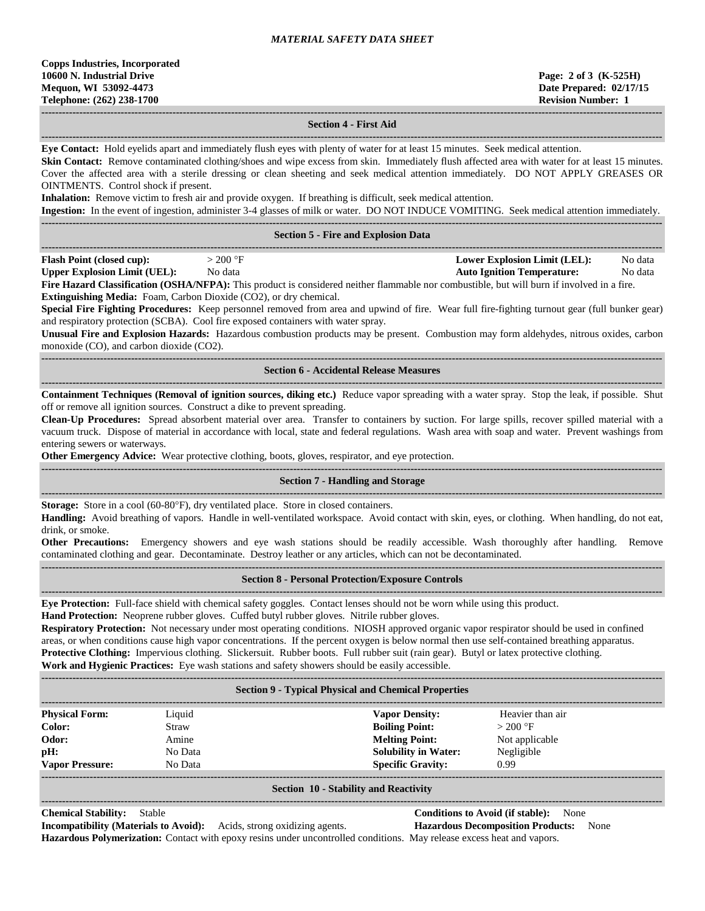## **Section 4 - First Aid**

**------------------------------------------------------------------------------------------------------------------------------------------------------------------------------------ Eye Contact:** Hold eyelids apart and immediately flush eyes with plenty of water for at least 15 minutes. Seek medical attention.

Skin Contact: Remove contaminated clothing/shoes and wipe excess from skin. Immediately flush affected area with water for at least 15 minutes. Cover the affected area with a sterile dressing or clean sheeting and seek medical attention immediately. DO NOT APPLY GREASES OR OINTMENTS. Control shock if present.

**Inhalation:** Remove victim to fresh air and provide oxygen. If breathing is difficult, seek medical attention.

**Ingestion:** In the event of ingestion, administer 3-4 glasses of milk or water. DO NOT INDUCE VOMITING. Seek medical attention immediately.

| <b>Section 5 - Fire and Explosion Data</b>                                                                                                                                                                                                                                                                                           |            |  |                                   |         |  |  |  |
|--------------------------------------------------------------------------------------------------------------------------------------------------------------------------------------------------------------------------------------------------------------------------------------------------------------------------------------|------------|--|-----------------------------------|---------|--|--|--|
| <b>Flash Point (closed cup):</b>                                                                                                                                                                                                                                                                                                     | $>$ 200 °F |  | Lower Explosion Limit (LEL):      | No data |  |  |  |
| <b>Upper Explosion Limit (UEL):</b>                                                                                                                                                                                                                                                                                                  | No data    |  | <b>Auto Ignition Temperature:</b> | No data |  |  |  |
| $\mathbf{E}^{\mathbf{L}}$ $\mathbf{H}$ $\mathbf{C}$ $\mathbf{D}$ $\mathbf{C}$ $\mathbf{D}$ $\mathbf{A}$ $\mathbf{D}$ $\mathbf{D}$ $\mathbf{D}$ $\mathbf{D}$ $\mathbf{D}$ $\mathbf{D}$ $\mathbf{D}$ $\mathbf{D}$ $\mathbf{D}$ $\mathbf{D}$ $\mathbf{D}$ $\mathbf{D}$ $\mathbf{D}$ $\mathbf{D}$ $\mathbf{D}$ $\mathbf{D}$ $\mathbf{D}$ |            |  |                                   |         |  |  |  |

**Fire Hazard Classification (OSHA/NFPA):** This product is considered neither flammable nor combustible, but will burn if involved in a fire. **Extinguishing Media:** Foam, Carbon Dioxide (CO2), or dry chemical.

**Special Fire Fighting Procedures:** Keep personnel removed from area and upwind of fire. Wear full fire-fighting turnout gear (full bunker gear) and respiratory protection (SCBA). Cool fire exposed containers with water spray.

**Unusual Fire and Explosion Hazards:** Hazardous combustion products may be present. Combustion may form aldehydes, nitrous oxides, carbon monoxide (CO), and carbon dioxide (CO2).

#### **------------------------------------------------------------------------------------------------------------------------------------------------------------------------------------ Section 6 - Accidental Release Measures**

**------------------------------------------------------------------------------------------------------------------------------------------------------------------------------------ Containment Techniques (Removal of ignition sources, diking etc.)** Reduce vapor spreading with a water spray. Stop the leak, if possible. Shut off or remove all ignition sources. Construct a dike to prevent spreading.

**Clean-Up Procedures:** Spread absorbent material over area. Transfer to containers by suction. For large spills, recover spilled material with a vacuum truck. Dispose of material in accordance with local, state and federal regulations. Wash area with soap and water. Prevent washings from entering sewers or waterways.

**Other Emergency Advice:** Wear protective clothing, boots, gloves, respirator, and eye protection.

#### **------------------------------------------------------------------------------------------------------------------------------------------------------------------------------------ Section 7 - Handling and Storage**

**------------------------------------------------------------------------------------------------------------------------------------------------------------------------------------ Storage:** Store in a cool (60-80°F), dry ventilated place. Store in closed containers.

**Handling:** Avoid breathing of vapors. Handle in well-ventilated workspace. Avoid contact with skin, eyes, or clothing. When handling, do not eat, drink, or smoke.

**Other Precautions:** Emergency showers and eye wash stations should be readily accessible. Wash thoroughly after handling. Remove contaminated clothing and gear. Decontaminate. Destroy leather or any articles, which can not be decontaminated. **------------------------------------------------------------------------------------------------------------------------------------------------------------------------------------**

### **Section 8 - Personal Protection/Exposure Controls**

**------------------------------------------------------------------------------------------------------------------------------------------------------------------------------------**

**Eye Protection:** Full-face shield with chemical safety goggles. Contact lenses should not be worn while using this product.

**Hand Protection:** Neoprene rubber gloves. Cuffed butyl rubber gloves. Nitrile rubber gloves.

**Respiratory Protection:** Not necessary under most operating conditions. NIOSH approved organic vapor respirator should be used in confined areas, or when conditions cause high vapor concentrations. If the percent oxygen is below normal then use self-contained breathing apparatus. **Protective Clothing:** Impervious clothing. Slickersuit. Rubber boots. Full rubber suit (rain gear). Butyl or latex protective clothing. **Work and Hygienic Practices:** Eye wash stations and safety showers should be easily accessible.

| <b>Section 9 - Typical Physical and Chemical Properties</b> |         |                             |                  |  |  |  |
|-------------------------------------------------------------|---------|-----------------------------|------------------|--|--|--|
| <b>Physical Form:</b>                                       | Liquid  | <b>Vapor Density:</b>       | Heavier than air |  |  |  |
| Color:                                                      | Straw   | <b>Boiling Point:</b>       | $>200$ °F        |  |  |  |
| Odor:                                                       | Amine   | <b>Melting Point:</b>       | Not applicable   |  |  |  |
| pH:                                                         | No Data | <b>Solubility in Water:</b> | Negligible       |  |  |  |
| <b>Vapor Pressure:</b>                                      | No Data | <b>Specific Gravity:</b>    | 0.99             |  |  |  |
|                                                             |         |                             |                  |  |  |  |

#### **Section 10 - Stability and Reactivity**

**Chemical Stability:** Stable **Conditions to Avoid (if stable):** None

**Incompatibility (Materials to Avoid):** Acids, strong oxidizing agents. **Hazardous Decomposition Products:** None **Hazardous Polymerization:** Contact with epoxy resins under uncontrolled conditions. May release excess heat and vapors.

**------------------------------------------------------------------------------------------------------------------------------------------------------------------------------------**